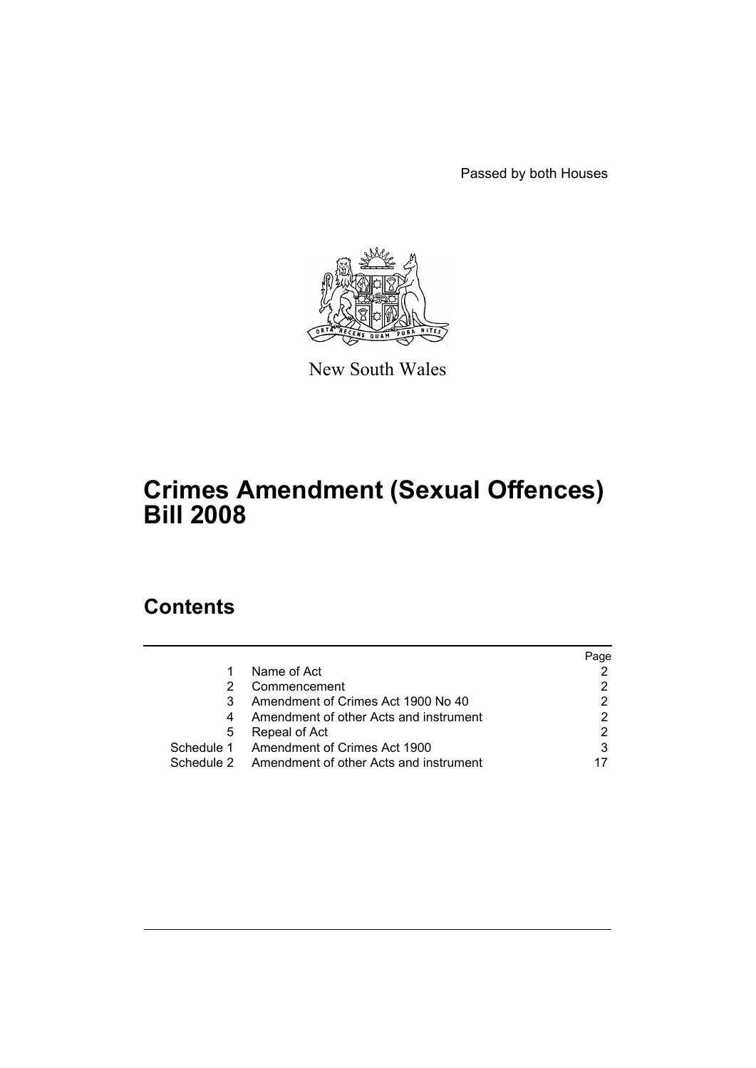Passed by both Houses



New South Wales

# **Crimes Amendment (Sexual Offences) Bill 2008**

# **Contents**

|            |                                                   | Page |
|------------|---------------------------------------------------|------|
|            | Name of Act                                       |      |
|            | Commencement                                      |      |
| 3          | Amendment of Crimes Act 1900 No 40                |      |
|            | Amendment of other Acts and instrument            |      |
| 5          | Repeal of Act                                     |      |
| Schedule 1 | Amendment of Crimes Act 1900                      | 3    |
|            | Schedule 2 Amendment of other Acts and instrument |      |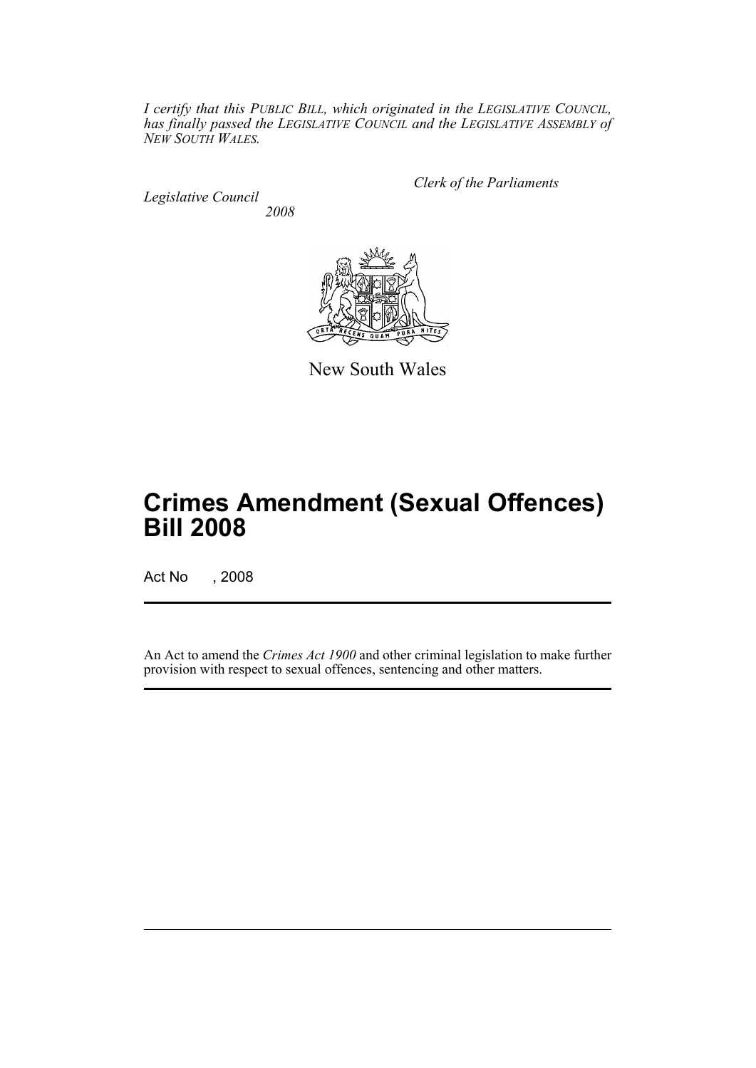*I certify that this PUBLIC BILL, which originated in the LEGISLATIVE COUNCIL, has finally passed the LEGISLATIVE COUNCIL and the LEGISLATIVE ASSEMBLY of NEW SOUTH WALES.*

*Legislative Council 2008* *Clerk of the Parliaments*



New South Wales

# **Crimes Amendment (Sexual Offences) Bill 2008**

Act No , 2008

An Act to amend the *Crimes Act 1900* and other criminal legislation to make further provision with respect to sexual offences, sentencing and other matters.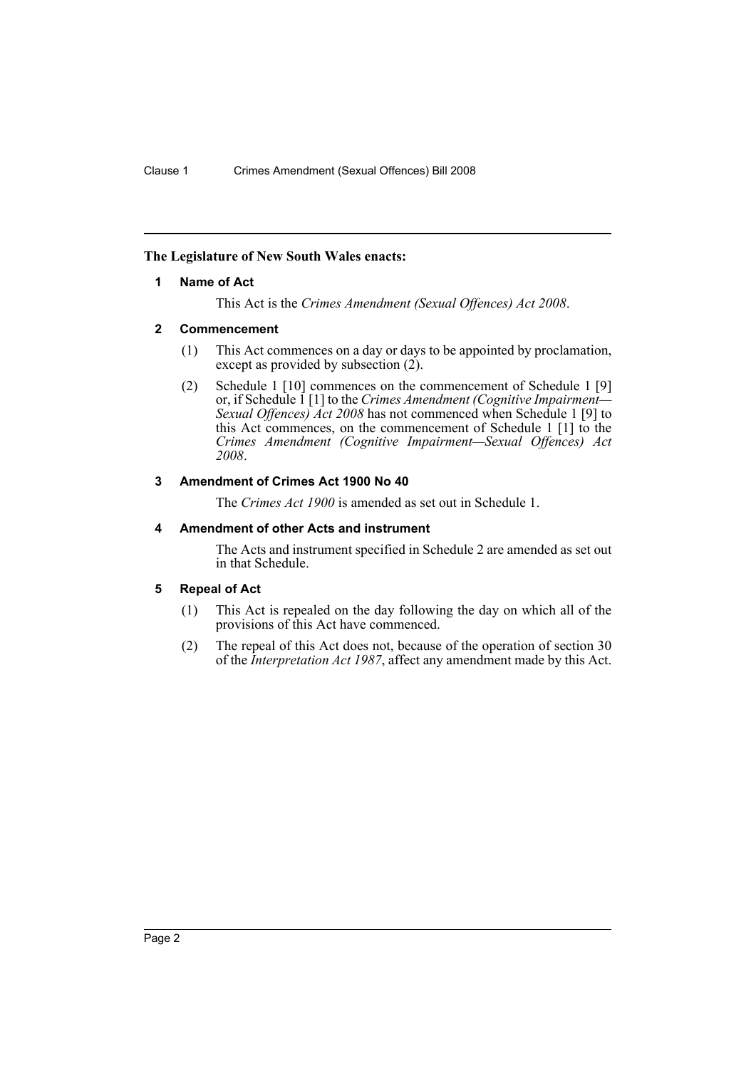## <span id="page-2-0"></span>**The Legislature of New South Wales enacts:**

## **1 Name of Act**

This Act is the *Crimes Amendment (Sexual Offences) Act 2008*.

## <span id="page-2-1"></span>**2 Commencement**

- (1) This Act commences on a day or days to be appointed by proclamation, except as provided by subsection  $(2)$ .
- (2) Schedule 1 [10] commences on the commencement of Schedule 1 [9] or, if Schedule 1 [1] to the *Crimes Amendment (Cognitive Impairment— Sexual Offences) Act 2008* has not commenced when Schedule 1 [9] to this Act commences, on the commencement of Schedule 1 [1] to the *Crimes Amendment (Cognitive Impairment—Sexual Offences) Act 2008*.

## <span id="page-2-2"></span>**3 Amendment of Crimes Act 1900 No 40**

The *Crimes Act 1900* is amended as set out in Schedule 1.

## <span id="page-2-3"></span>**4 Amendment of other Acts and instrument**

The Acts and instrument specified in Schedule 2 are amended as set out in that Schedule.

## <span id="page-2-4"></span>**5 Repeal of Act**

- (1) This Act is repealed on the day following the day on which all of the provisions of this Act have commenced.
- (2) The repeal of this Act does not, because of the operation of section 30 of the *Interpretation Act 1987*, affect any amendment made by this Act.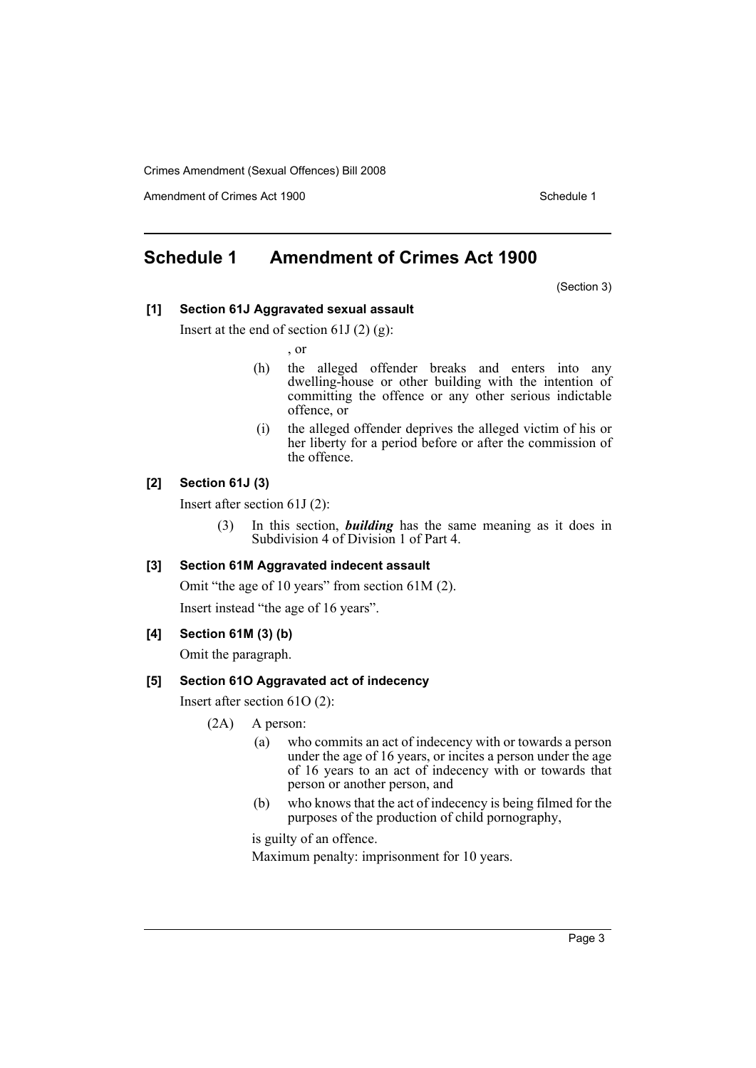Amendment of Crimes Act 1900 New York 1900 Network 1900 Schedule 1

# <span id="page-3-0"></span>**Schedule 1 Amendment of Crimes Act 1900**

(Section 3)

## **[1] Section 61J Aggravated sexual assault**

Insert at the end of section 61J $(2)(g)$ :

, or

- (h) the alleged offender breaks and enters into any dwelling-house or other building with the intention of committing the offence or any other serious indictable offence, or
- (i) the alleged offender deprives the alleged victim of his or her liberty for a period before or after the commission of the offence.

## **[2] Section 61J (3)**

Insert after section 61J (2):

(3) In this section, *building* has the same meaning as it does in Subdivision 4 of Division 1 of Part 4.

## **[3] Section 61M Aggravated indecent assault**

Omit "the age of 10 years" from section 61M (2).

Insert instead "the age of 16 years".

## **[4] Section 61M (3) (b)**

Omit the paragraph.

## **[5] Section 61O Aggravated act of indecency**

Insert after section 61O (2):

- (2A) A person:
	- (a) who commits an act of indecency with or towards a person under the age of 16 years, or incites a person under the age of 16 years to an act of indecency with or towards that person or another person, and
	- (b) who knows that the act of indecency is being filmed for the purposes of the production of child pornography,

is guilty of an offence. Maximum penalty: imprisonment for 10 years.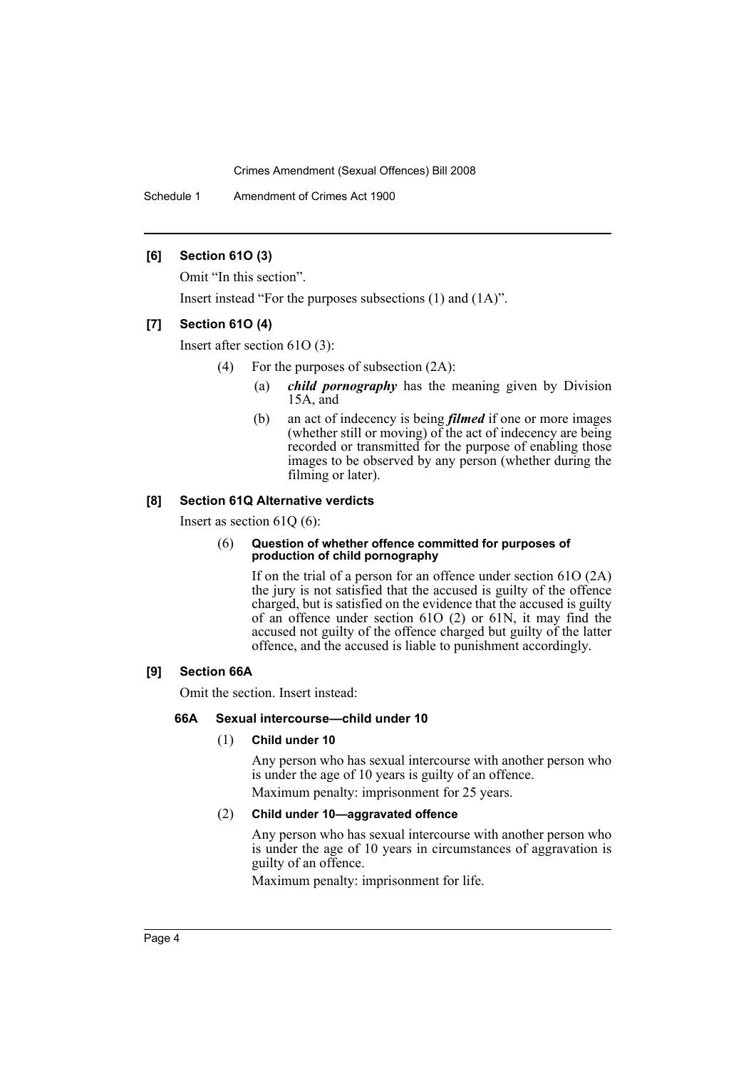Schedule 1 Amendment of Crimes Act 1900

## **[6] Section 61O (3)**

Omit "In this section".

Insert instead "For the purposes subsections (1) and (1A)".

## **[7] Section 61O (4)**

Insert after section 61O (3):

- (4) For the purposes of subsection (2A):
	- (a) *child pornography* has the meaning given by Division 15A, and
	- (b) an act of indecency is being *filmed* if one or more images (whether still or moving) of the act of indecency are being recorded or transmitted for the purpose of enabling those images to be observed by any person (whether during the filming or later).

### **[8] Section 61Q Alternative verdicts**

Insert as section 61Q (6):

#### (6) **Question of whether offence committed for purposes of production of child pornography**

If on the trial of a person for an offence under section 61O (2A) the jury is not satisfied that the accused is guilty of the offence charged, but is satisfied on the evidence that the accused is guilty of an offence under section 61O (2) or 61N, it may find the accused not guilty of the offence charged but guilty of the latter offence, and the accused is liable to punishment accordingly.

## **[9] Section 66A**

Omit the section. Insert instead:

### **66A Sexual intercourse—child under 10**

### (1) **Child under 10**

Any person who has sexual intercourse with another person who is under the age of 10 years is guilty of an offence.

Maximum penalty: imprisonment for 25 years.

## (2) **Child under 10—aggravated offence**

Any person who has sexual intercourse with another person who is under the age of 10 years in circumstances of aggravation is guilty of an offence.

Maximum penalty: imprisonment for life.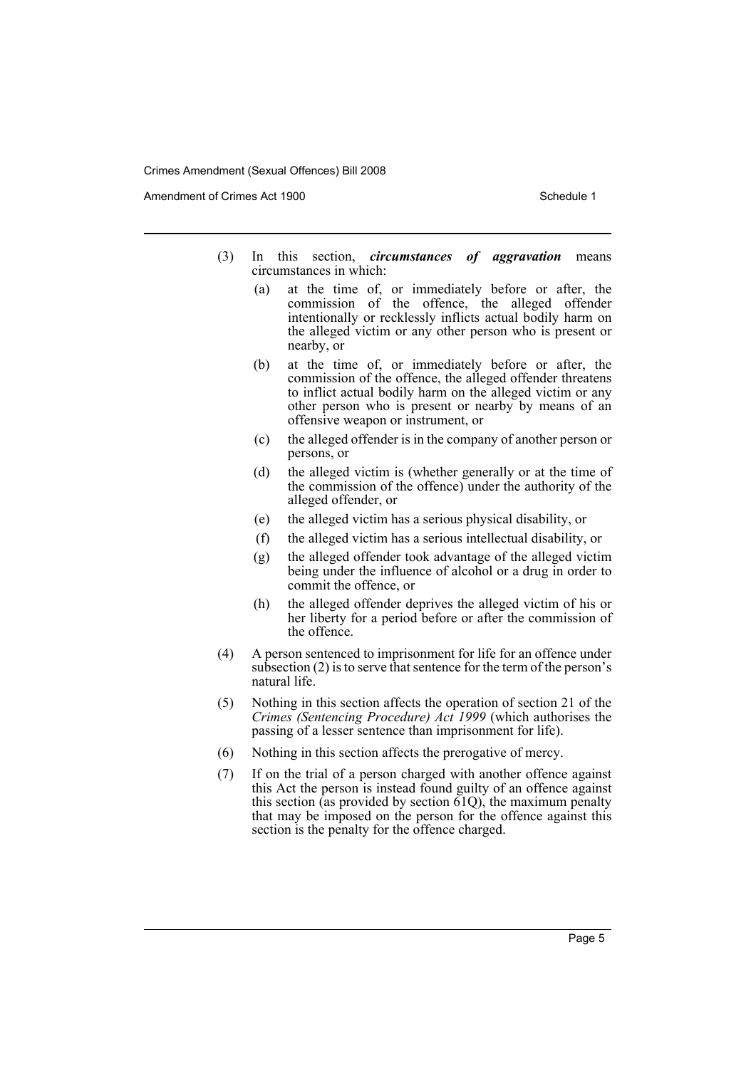Amendment of Crimes Act 1900 New York 1900 New York 1900 New York 1900 Schedule 1

- (3) In this section, *circumstances of aggravation* means circumstances in which:
	- (a) at the time of, or immediately before or after, the commission of the offence, the alleged offender intentionally or recklessly inflicts actual bodily harm on the alleged victim or any other person who is present or nearby, or
	- (b) at the time of, or immediately before or after, the commission of the offence, the alleged offender threatens to inflict actual bodily harm on the alleged victim or any other person who is present or nearby by means of an offensive weapon or instrument, or
	- (c) the alleged offender is in the company of another person or persons, or
	- (d) the alleged victim is (whether generally or at the time of the commission of the offence) under the authority of the alleged offender, or
	- (e) the alleged victim has a serious physical disability, or
	- (f) the alleged victim has a serious intellectual disability, or
	- (g) the alleged offender took advantage of the alleged victim being under the influence of alcohol or a drug in order to commit the offence, or
	- (h) the alleged offender deprives the alleged victim of his or her liberty for a period before or after the commission of the offence.
- (4) A person sentenced to imprisonment for life for an offence under subsection (2) is to serve that sentence for the term of the person's natural life.
- (5) Nothing in this section affects the operation of section 21 of the *Crimes (Sentencing Procedure) Act 1999* (which authorises the passing of a lesser sentence than imprisonment for life).
- (6) Nothing in this section affects the prerogative of mercy.
- (7) If on the trial of a person charged with another offence against this Act the person is instead found guilty of an offence against this section (as provided by section  $\tilde{61Q}$ ), the maximum penalty that may be imposed on the person for the offence against this section is the penalty for the offence charged.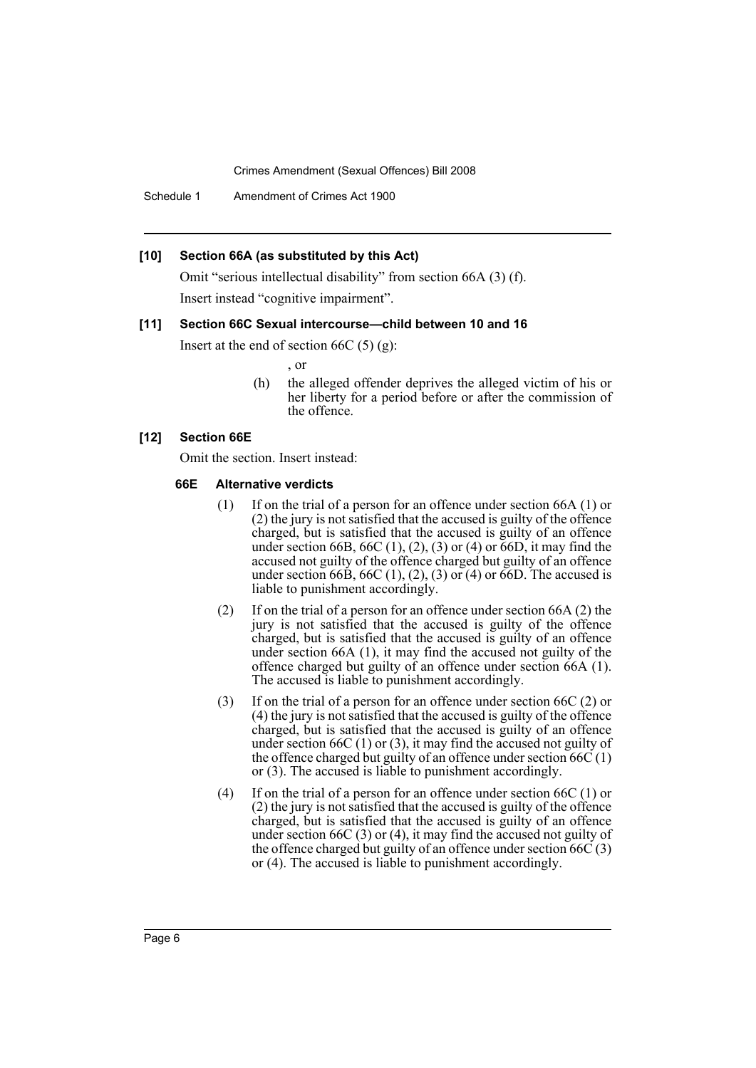Schedule 1 Amendment of Crimes Act 1900

#### **[10] Section 66A (as substituted by this Act)**

Omit "serious intellectual disability" from section 66A (3) (f). Insert instead "cognitive impairment".

#### **[11] Section 66C Sexual intercourse—child between 10 and 16**

Insert at the end of section 66C  $(5)$   $(g)$ :

, or

(h) the alleged offender deprives the alleged victim of his or her liberty for a period before or after the commission of the offence.

#### **[12] Section 66E**

Omit the section. Insert instead:

#### **66E Alternative verdicts**

- (1) If on the trial of a person for an offence under section 66A (1) or (2) the jury is not satisfied that the accused is guilty of the offence charged, but is satisfied that the accused is guilty of an offence under section 66B, 66C  $(1)$ ,  $(2)$ ,  $(3)$  or  $(4)$  or 66D, it may find the accused not guilty of the offence charged but guilty of an offence under section 66B, 66C (1), (2), (3) or (4) or 66D. The accused is liable to punishment accordingly.
- (2) If on the trial of a person for an offence under section 66A (2) the jury is not satisfied that the accused is guilty of the offence charged, but is satisfied that the accused is guilty of an offence under section 66A (1), it may find the accused not guilty of the offence charged but guilty of an offence under section 66A (1). The accused is liable to punishment accordingly.
- (3) If on the trial of a person for an offence under section 66C (2) or (4) the jury is not satisfied that the accused is guilty of the offence charged, but is satisfied that the accused is guilty of an offence under section  $66C(1)$  or  $(3)$ , it may find the accused not guilty of the offence charged but guilty of an offence under section  $66C(1)$ or (3). The accused is liable to punishment accordingly.
- (4) If on the trial of a person for an offence under section 66C (1) or (2) the jury is not satisfied that the accused is guilty of the offence charged, but is satisfied that the accused is guilty of an offence under section 66C (3) or (4), it may find the accused not guilty of the offence charged but guilty of an offence under section  $66\ddot{\text{C}}(3)$ or (4). The accused is liable to punishment accordingly.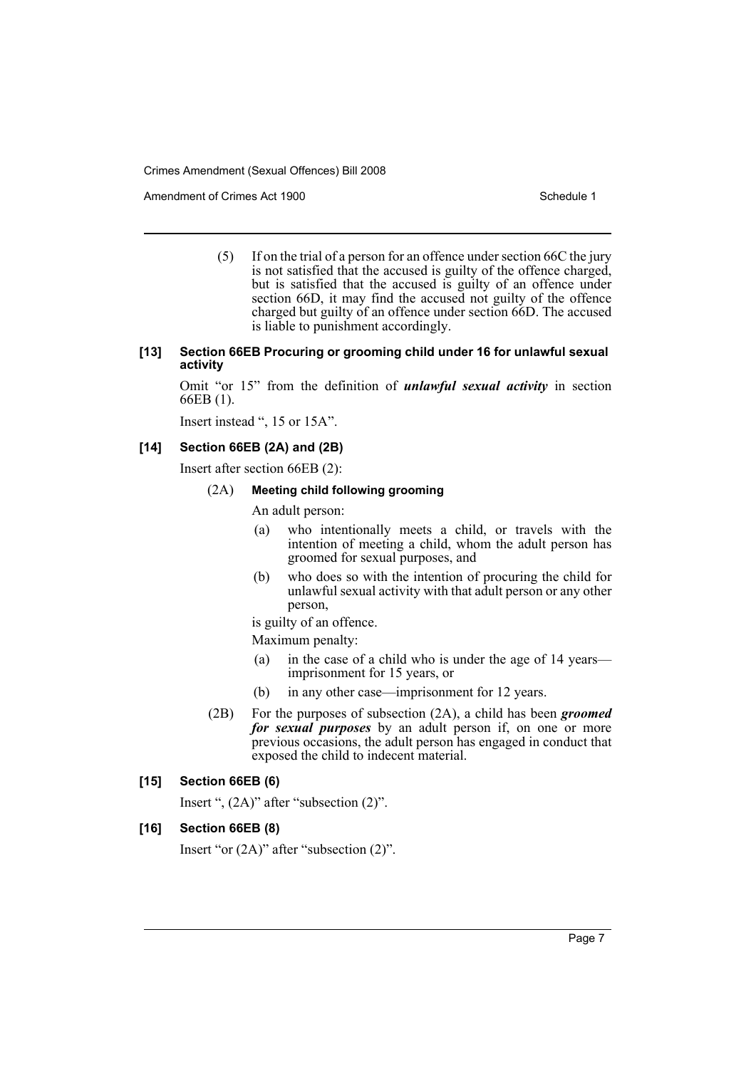Amendment of Crimes Act 1900 New York 1900 New York 1900 New York 1900 Schedule 1

(5) If on the trial of a person for an offence under section 66C the jury is not satisfied that the accused is guilty of the offence charged, but is satisfied that the accused is guilty of an offence under section 66D, it may find the accused not guilty of the offence charged but guilty of an offence under section 66D. The accused is liable to punishment accordingly.

#### **[13] Section 66EB Procuring or grooming child under 16 for unlawful sexual activity**

Omit "or 15" from the definition of *unlawful sexual activity* in section 66EB (1).

Insert instead ", 15 or 15A".

### **[14] Section 66EB (2A) and (2B)**

Insert after section 66EB (2):

#### (2A) **Meeting child following grooming**

An adult person:

- (a) who intentionally meets a child, or travels with the intention of meeting a child, whom the adult person has groomed for sexual purposes, and
- (b) who does so with the intention of procuring the child for unlawful sexual activity with that adult person or any other person,

is guilty of an offence.

Maximum penalty:

- (a) in the case of a child who is under the age of 14 years imprisonment for 15 years, or
- (b) in any other case—imprisonment for 12 years.
- (2B) For the purposes of subsection (2A), a child has been *groomed for sexual purposes* by an adult person if, on one or more previous occasions, the adult person has engaged in conduct that exposed the child to indecent material.

### **[15] Section 66EB (6)**

Insert ", (2A)" after "subsection (2)".

## **[16] Section 66EB (8)**

Insert "or (2A)" after "subsection (2)".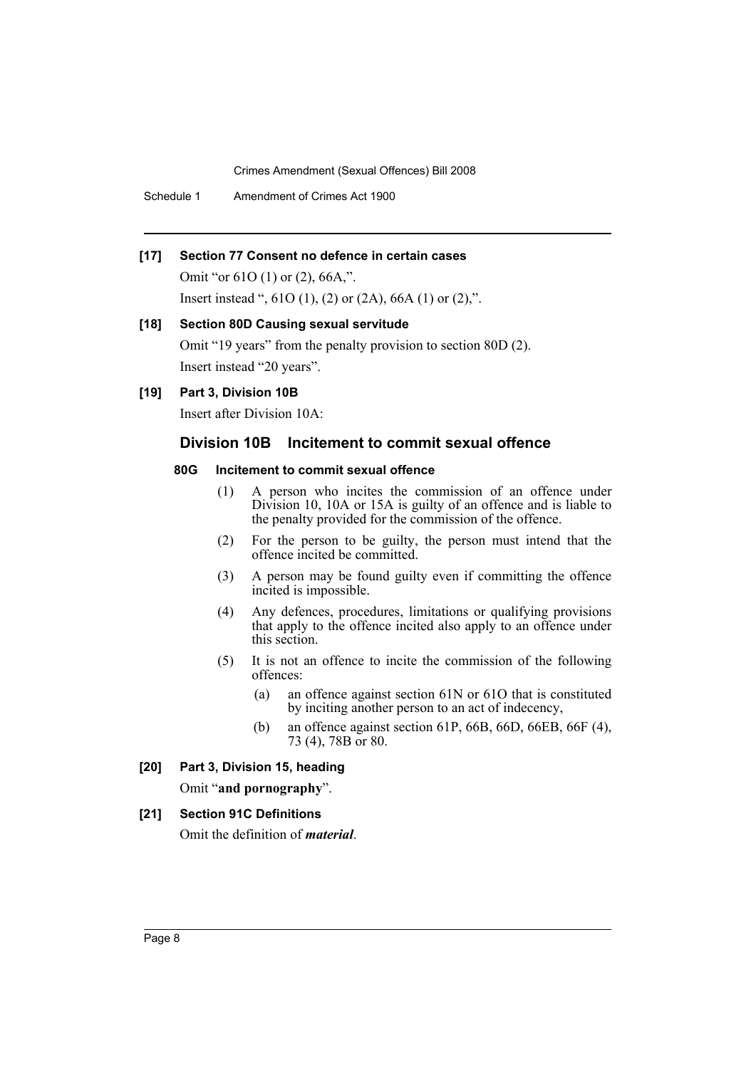Schedule 1 Amendment of Crimes Act 1900

## **[17] Section 77 Consent no defence in certain cases**

Omit "or 61O (1) or (2), 66A,". Insert instead ",  $61O(1)$ ,  $(2)$  or  $(2A)$ ,  $66A(1)$  or  $(2)$ ,".

#### **[18] Section 80D Causing sexual servitude**

Omit "19 years" from the penalty provision to section 80D (2). Insert instead "20 years".

**[19] Part 3, Division 10B**

Insert after Division 10A:

# **Division 10B Incitement to commit sexual offence**

#### **80G Incitement to commit sexual offence**

- (1) A person who incites the commission of an offence under Division 10, 10A or 15A is guilty of an offence and is liable to the penalty provided for the commission of the offence.
- (2) For the person to be guilty, the person must intend that the offence incited be committed.
- (3) A person may be found guilty even if committing the offence incited is impossible.
- (4) Any defences, procedures, limitations or qualifying provisions that apply to the offence incited also apply to an offence under this section.
- (5) It is not an offence to incite the commission of the following offences:
	- (a) an offence against section 61N or 61O that is constituted by inciting another person to an act of indecency,
	- (b) an offence against section 61P, 66B, 66D, 66EB, 66F (4), 73 (4), 78B or 80.

## **[20] Part 3, Division 15, heading**

Omit "**and pornography**".

## **[21] Section 91C Definitions**

Omit the definition of *material*.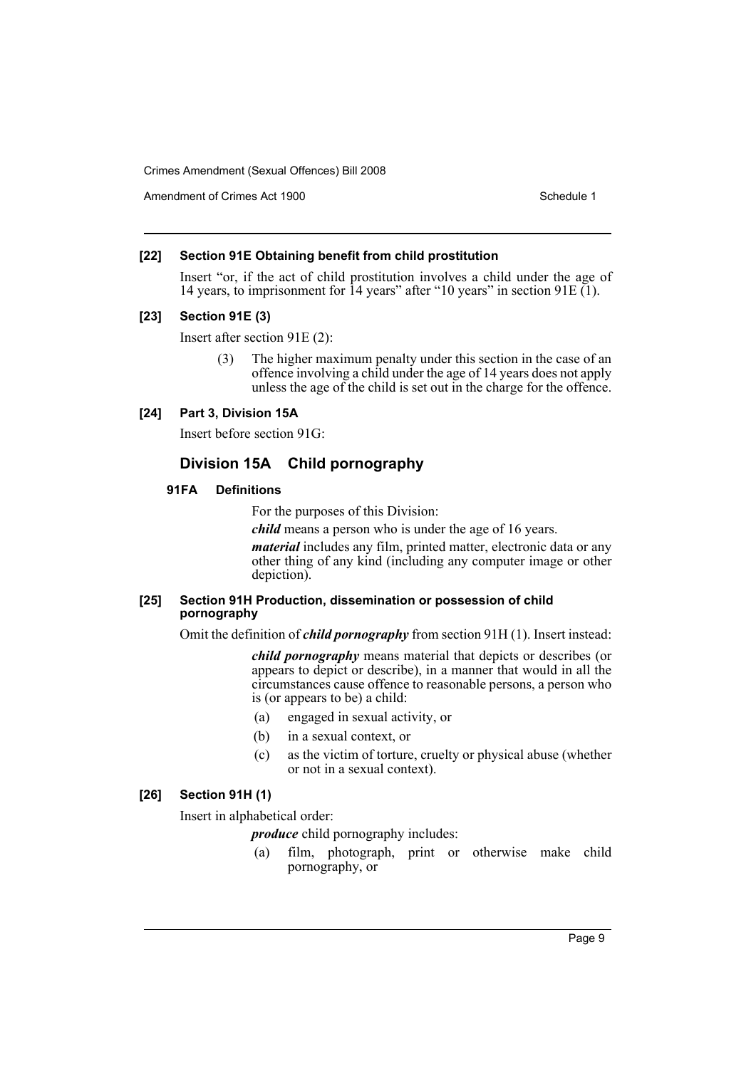Amendment of Crimes Act 1900 New York 1900 New York 1900 New York 1900 Schedule 1

## **[22] Section 91E Obtaining benefit from child prostitution**

Insert "or, if the act of child prostitution involves a child under the age of 14 years, to imprisonment for 14 years" after "10 years" in section 91E (1).

## **[23] Section 91E (3)**

Insert after section 91E (2):

(3) The higher maximum penalty under this section in the case of an offence involving a child under the age of 14 years does not apply unless the age of the child is set out in the charge for the offence.

## **[24] Part 3, Division 15A**

Insert before section 91G:

# **Division 15A Child pornography**

## **91FA Definitions**

For the purposes of this Division:

*child* means a person who is under the age of 16 years.

*material* includes any film, printed matter, electronic data or any other thing of any kind (including any computer image or other depiction).

#### **[25] Section 91H Production, dissemination or possession of child pornography**

Omit the definition of *child pornography* from section 91H (1). Insert instead:

*child pornography* means material that depicts or describes (or appears to depict or describe), in a manner that would in all the circumstances cause offence to reasonable persons, a person who is (or appears to be) a child:

- (a) engaged in sexual activity, or
- (b) in a sexual context, or
- (c) as the victim of torture, cruelty or physical abuse (whether or not in a sexual context).

### **[26] Section 91H (1)**

Insert in alphabetical order:

*produce* child pornography includes:

(a) film, photograph, print or otherwise make child pornography, or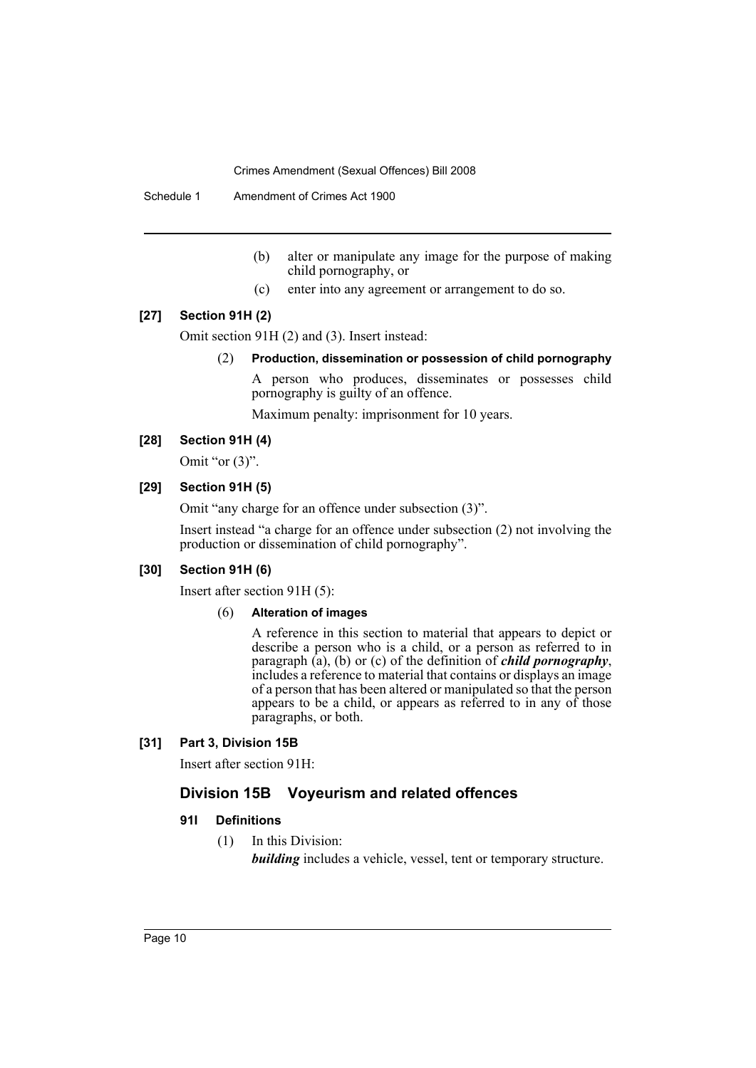Schedule 1 Amendment of Crimes Act 1900

- (b) alter or manipulate any image for the purpose of making child pornography, or
- (c) enter into any agreement or arrangement to do so.

## **[27] Section 91H (2)**

Omit section 91H (2) and (3). Insert instead:

(2) **Production, dissemination or possession of child pornography**

A person who produces, disseminates or possesses child pornography is guilty of an offence.

Maximum penalty: imprisonment for 10 years.

#### **[28] Section 91H (4)**

Omit "or  $(3)$ ".

### **[29] Section 91H (5)**

Omit "any charge for an offence under subsection (3)".

Insert instead "a charge for an offence under subsection (2) not involving the production or dissemination of child pornography".

## **[30] Section 91H (6)**

Insert after section 91H (5):

#### (6) **Alteration of images**

A reference in this section to material that appears to depict or describe a person who is a child, or a person as referred to in paragraph (a), (b) or (c) of the definition of *child pornography*, includes a reference to material that contains or displays an image of a person that has been altered or manipulated so that the person appears to be a child, or appears as referred to in any of those paragraphs, or both.

## **[31] Part 3, Division 15B**

Insert after section 91H:

## **Division 15B Voyeurism and related offences**

### **91I Definitions**

(1) In this Division:

*building* includes a vehicle, vessel, tent or temporary structure.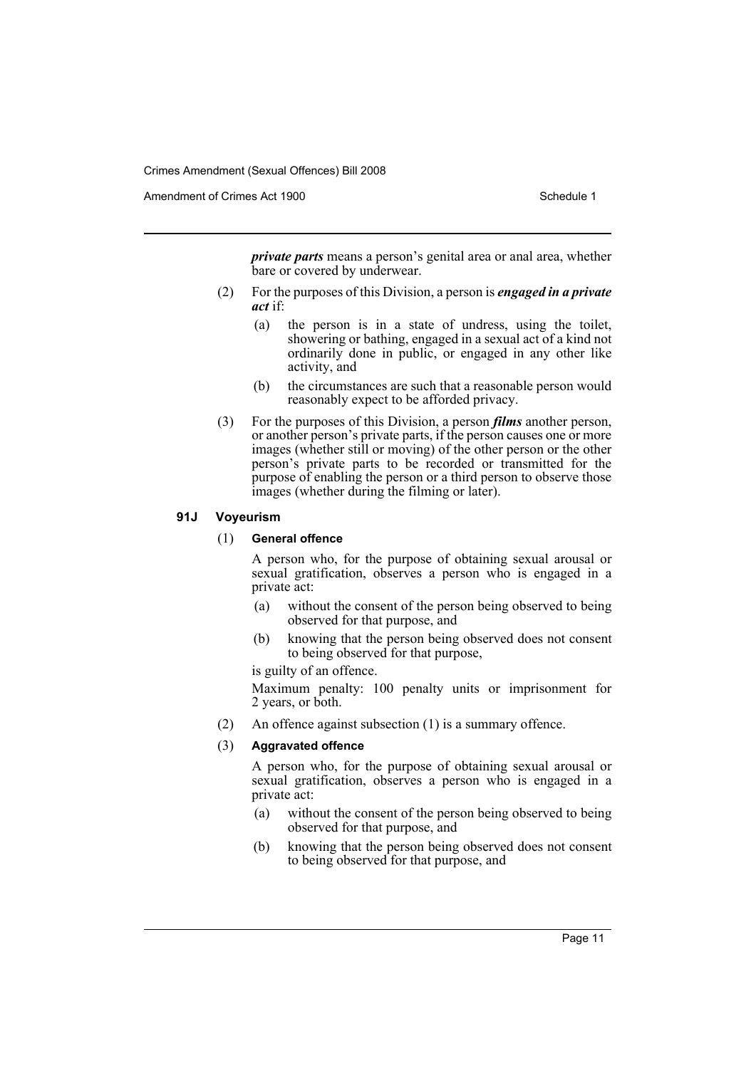Amendment of Crimes Act 1900 New York 1900 Network 1900 Schedule 1

*private parts* means a person's genital area or anal area, whether bare or covered by underwear.

- (2) For the purposes of this Division, a person is *engaged in a private act* if:
	- (a) the person is in a state of undress, using the toilet, showering or bathing, engaged in a sexual act of a kind not ordinarily done in public, or engaged in any other like activity, and
	- (b) the circumstances are such that a reasonable person would reasonably expect to be afforded privacy.
- (3) For the purposes of this Division, a person *films* another person, or another person's private parts, if the person causes one or more images (whether still or moving) of the other person or the other person's private parts to be recorded or transmitted for the purpose of enabling the person or a third person to observe those images (whether during the filming or later).

## **91J Voyeurism**

### (1) **General offence**

A person who, for the purpose of obtaining sexual arousal or sexual gratification, observes a person who is engaged in a private act:

- (a) without the consent of the person being observed to being observed for that purpose, and
- (b) knowing that the person being observed does not consent to being observed for that purpose,

is guilty of an offence.

Maximum penalty: 100 penalty units or imprisonment for 2 years, or both.

(2) An offence against subsection (1) is a summary offence.

### (3) **Aggravated offence**

A person who, for the purpose of obtaining sexual arousal or sexual gratification, observes a person who is engaged in a private act:

- (a) without the consent of the person being observed to being observed for that purpose, and
- (b) knowing that the person being observed does not consent to being observed for that purpose, and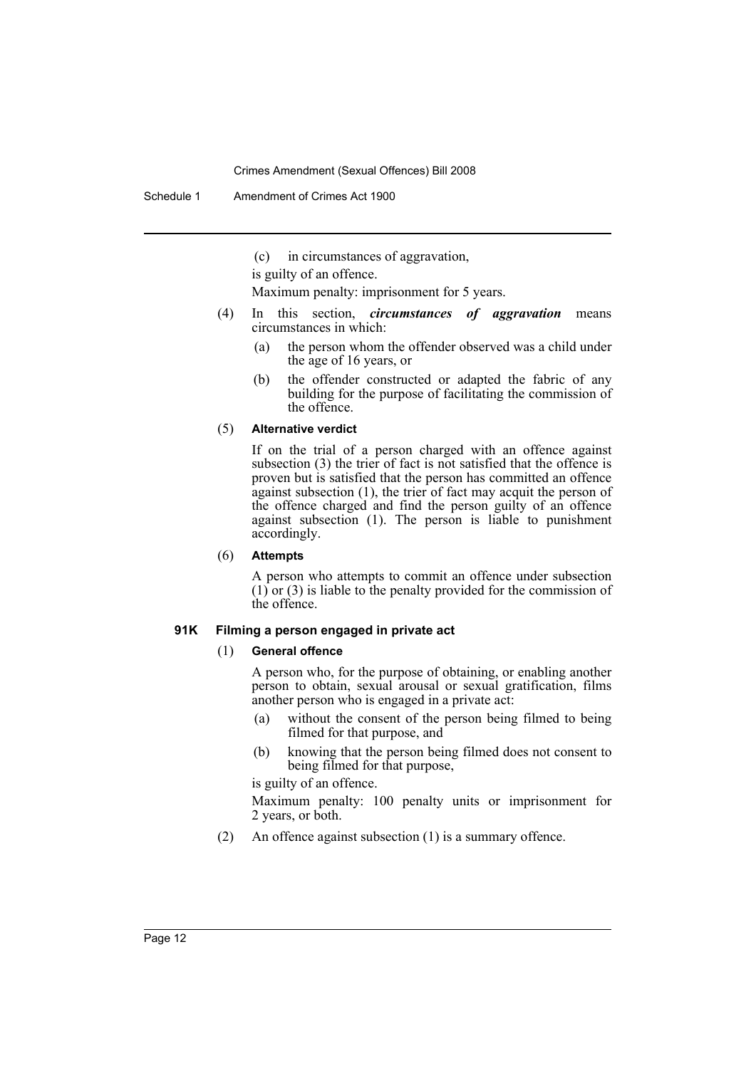Schedule 1 Amendment of Crimes Act 1900

(c) in circumstances of aggravation,

is guilty of an offence.

Maximum penalty: imprisonment for 5 years.

- (4) In this section, *circumstances of aggravation* means circumstances in which:
	- (a) the person whom the offender observed was a child under the age of 16 years, or
	- (b) the offender constructed or adapted the fabric of any building for the purpose of facilitating the commission of the offence.

#### (5) **Alternative verdict**

If on the trial of a person charged with an offence against subsection (3) the trier of fact is not satisfied that the offence is proven but is satisfied that the person has committed an offence against subsection (1), the trier of fact may acquit the person of the offence charged and find the person guilty of an offence against subsection (1). The person is liable to punishment accordingly.

(6) **Attempts**

A person who attempts to commit an offence under subsection  $(1)$  or  $(3)$  is liable to the penalty provided for the commission of the offence.

## **91K Filming a person engaged in private act**

#### (1) **General offence**

A person who, for the purpose of obtaining, or enabling another person to obtain, sexual arousal or sexual gratification, films another person who is engaged in a private act:

- (a) without the consent of the person being filmed to being filmed for that purpose, and
- (b) knowing that the person being filmed does not consent to being filmed for that purpose,

is guilty of an offence.

Maximum penalty: 100 penalty units or imprisonment for 2 years, or both.

(2) An offence against subsection (1) is a summary offence.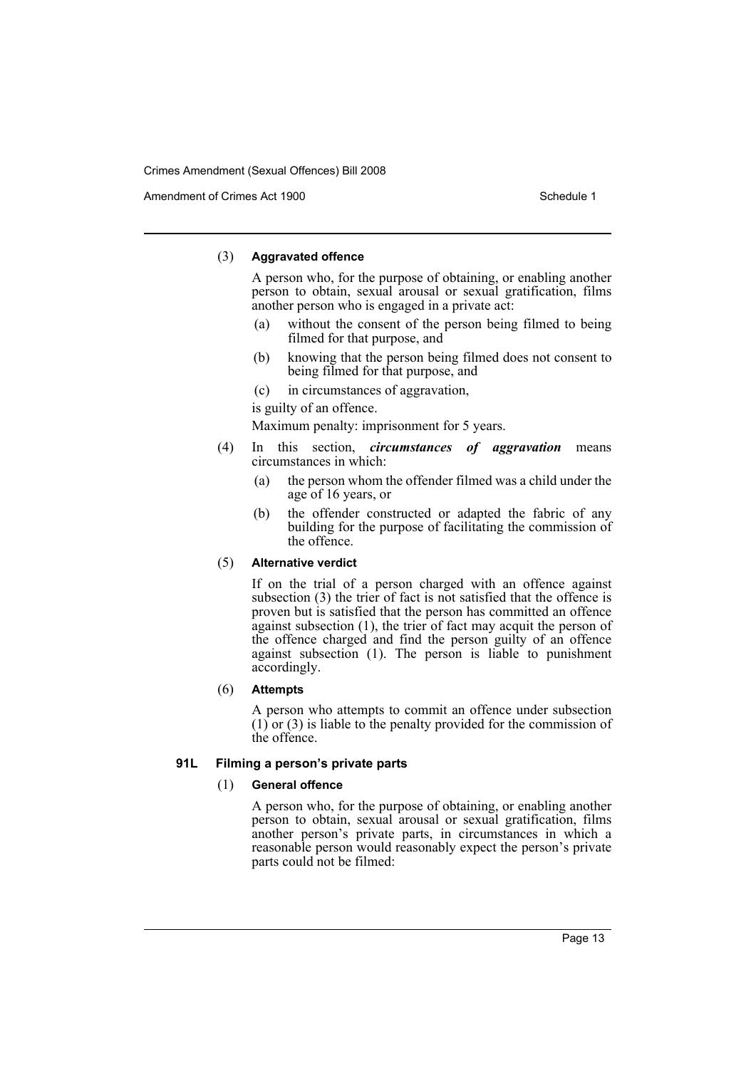Amendment of Crimes Act 1900 New York 1900 New York 1900 New York 1900 Schedule 1

## (3) **Aggravated offence**

A person who, for the purpose of obtaining, or enabling another person to obtain, sexual arousal or sexual gratification, films another person who is engaged in a private act:

- (a) without the consent of the person being filmed to being filmed for that purpose, and
- (b) knowing that the person being filmed does not consent to being filmed for that purpose, and
- (c) in circumstances of aggravation,

is guilty of an offence.

Maximum penalty: imprisonment for 5 years.

- (4) In this section, *circumstances of aggravation* means circumstances in which:
	- (a) the person whom the offender filmed was a child under the age of 16 years, or
	- (b) the offender constructed or adapted the fabric of any building for the purpose of facilitating the commission of the offence.

### (5) **Alternative verdict**

If on the trial of a person charged with an offence against subsection (3) the trier of fact is not satisfied that the offence is proven but is satisfied that the person has committed an offence against subsection (1), the trier of fact may acquit the person of the offence charged and find the person guilty of an offence against subsection (1). The person is liable to punishment accordingly.

## (6) **Attempts**

A person who attempts to commit an offence under subsection  $(1)$  or  $(3)$  is liable to the penalty provided for the commission of the offence.

## **91L Filming a person's private parts**

## (1) **General offence**

A person who, for the purpose of obtaining, or enabling another person to obtain, sexual arousal or sexual gratification, films another person's private parts, in circumstances in which a reasonable person would reasonably expect the person's private parts could not be filmed: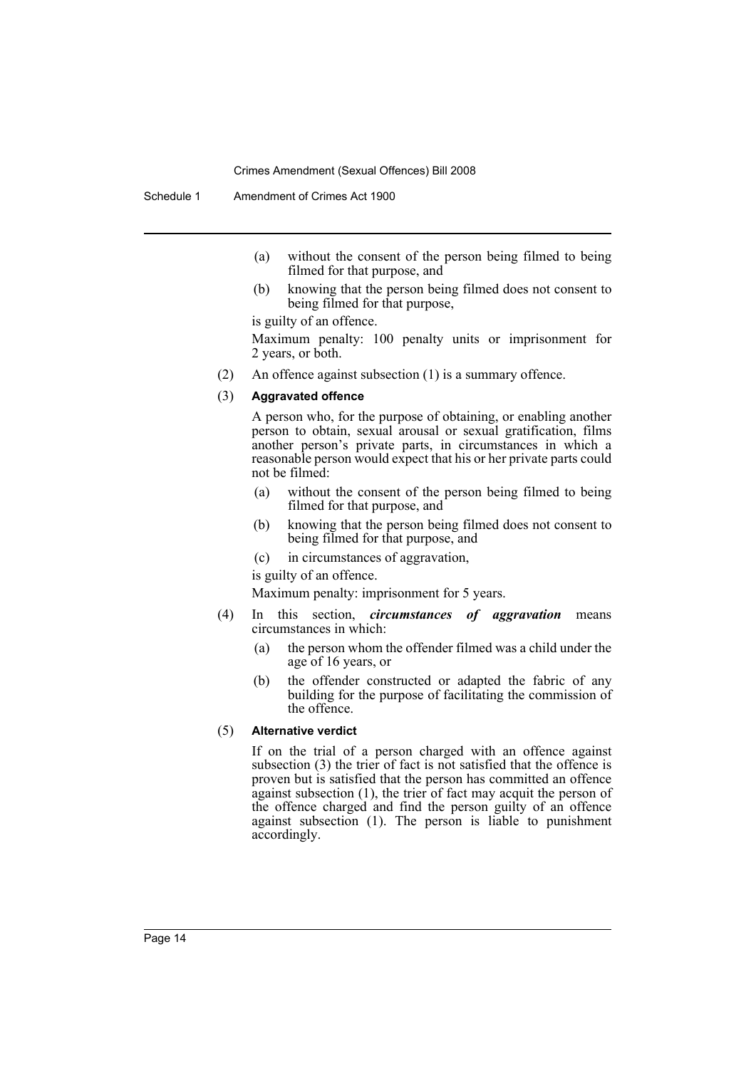Schedule 1 Amendment of Crimes Act 1900

- (a) without the consent of the person being filmed to being filmed for that purpose, and
- (b) knowing that the person being filmed does not consent to being filmed for that purpose,

is guilty of an offence.

Maximum penalty: 100 penalty units or imprisonment for 2 years, or both.

(2) An offence against subsection (1) is a summary offence.

#### (3) **Aggravated offence**

A person who, for the purpose of obtaining, or enabling another person to obtain, sexual arousal or sexual gratification, films another person's private parts, in circumstances in which a reasonable person would expect that his or her private parts could not be filmed:

- (a) without the consent of the person being filmed to being filmed for that purpose, and
- (b) knowing that the person being filmed does not consent to being filmed for that purpose, and
- (c) in circumstances of aggravation,

is guilty of an offence.

Maximum penalty: imprisonment for 5 years.

- (4) In this section, *circumstances of aggravation* means circumstances in which:
	- (a) the person whom the offender filmed was a child under the age of 16 years, or
	- (b) the offender constructed or adapted the fabric of any building for the purpose of facilitating the commission of the offence.

### (5) **Alternative verdict**

If on the trial of a person charged with an offence against subsection (3) the trier of fact is not satisfied that the offence is proven but is satisfied that the person has committed an offence against subsection (1), the trier of fact may acquit the person of the offence charged and find the person guilty of an offence against subsection (1). The person is liable to punishment accordingly.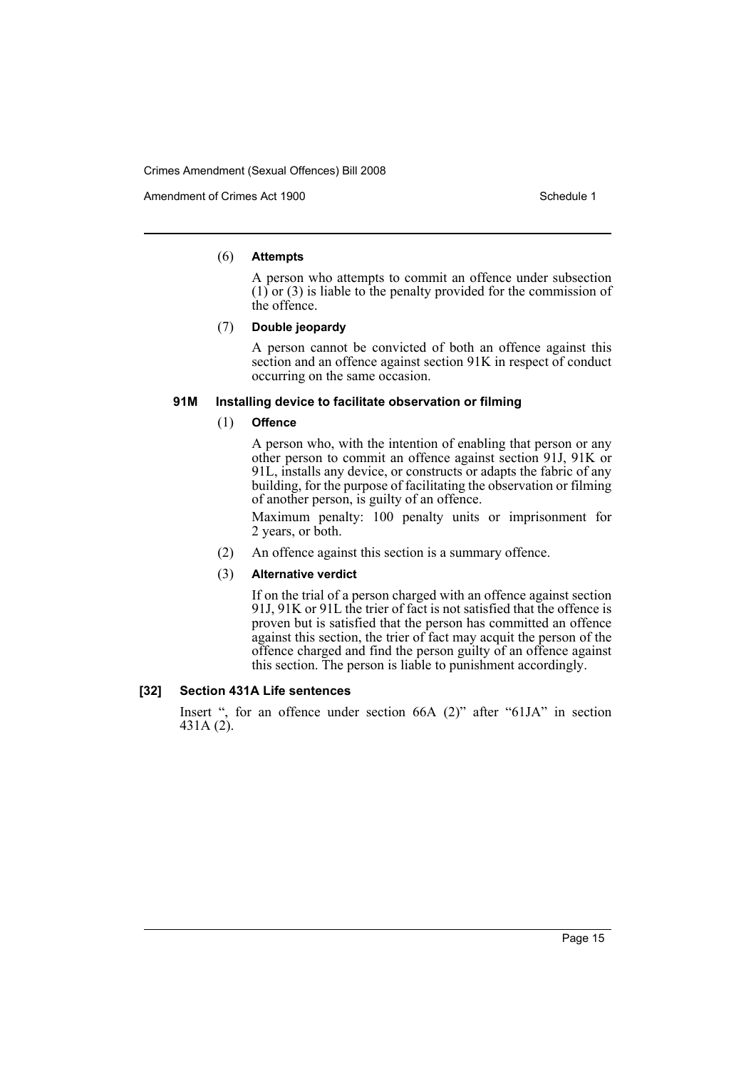Amendment of Crimes Act 1900 New York 1900 New York 1900 New York 1900 Schedule 1

#### (6) **Attempts**

A person who attempts to commit an offence under subsection  $(1)$  or  $(3)$  is liable to the penalty provided for the commission of the offence.

#### (7) **Double jeopardy**

A person cannot be convicted of both an offence against this section and an offence against section 91K in respect of conduct occurring on the same occasion.

#### **91M Installing device to facilitate observation or filming**

#### (1) **Offence**

A person who, with the intention of enabling that person or any other person to commit an offence against section 91J, 91K or 91L, installs any device, or constructs or adapts the fabric of any building, for the purpose of facilitating the observation or filming of another person, is guilty of an offence.

Maximum penalty: 100 penalty units or imprisonment for 2 years, or both.

(2) An offence against this section is a summary offence.

### (3) **Alternative verdict**

If on the trial of a person charged with an offence against section 91J, 91K or 91L the trier of fact is not satisfied that the offence is proven but is satisfied that the person has committed an offence against this section, the trier of fact may acquit the person of the offence charged and find the person guilty of an offence against this section. The person is liable to punishment accordingly.

## **[32] Section 431A Life sentences**

Insert ", for an offence under section 66A (2)" after "61JA" in section 431A (2).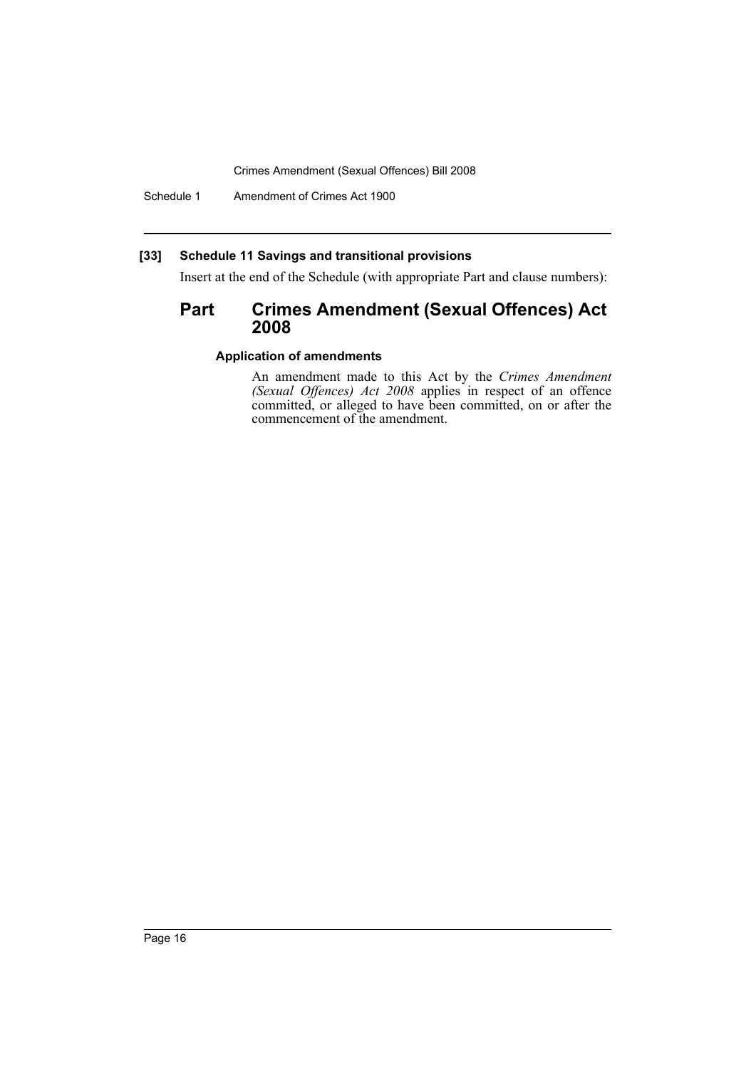Schedule 1 Amendment of Crimes Act 1900

## **[33] Schedule 11 Savings and transitional provisions**

Insert at the end of the Schedule (with appropriate Part and clause numbers):

# **Part Crimes Amendment (Sexual Offences) Act 2008**

## **Application of amendments**

An amendment made to this Act by the *Crimes Amendment (Sexual Offences) Act 2008* applies in respect of an offence committed, or alleged to have been committed, on or after the commencement of the amendment.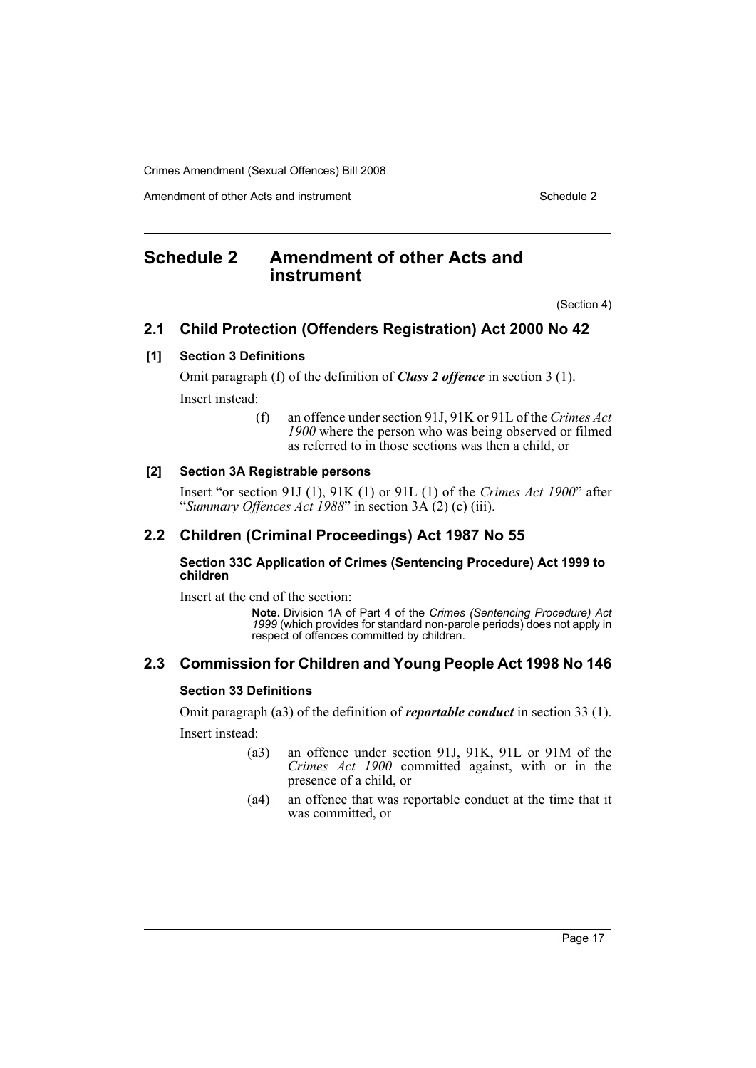Amendment of other Acts and instrument Schedule 2

# <span id="page-17-0"></span>**Schedule 2 Amendment of other Acts and instrument**

(Section 4)

# **2.1 Child Protection (Offenders Registration) Act 2000 No 42**

## **[1] Section 3 Definitions**

Omit paragraph (f) of the definition of *Class 2 offence* in section 3 (1). Insert instead:

> (f) an offence under section 91J, 91K or 91L of the *Crimes Act 1900* where the person who was being observed or filmed as referred to in those sections was then a child, or

## **[2] Section 3A Registrable persons**

Insert "or section 91J (1), 91K (1) or 91L (1) of the *Crimes Act 1900*" after "*Summary Offences Act 1988*" in section 3A (2) (c) (iii).

# **2.2 Children (Criminal Proceedings) Act 1987 No 55**

### **Section 33C Application of Crimes (Sentencing Procedure) Act 1999 to children**

Insert at the end of the section:

**Note.** Division 1A of Part 4 of the *Crimes (Sentencing Procedure) Act 1999* (which provides for standard non-parole periods) does not apply in respect of offences committed by children.

# **2.3 Commission for Children and Young People Act 1998 No 146**

### **Section 33 Definitions**

Omit paragraph (a3) of the definition of *reportable conduct* in section 33 (1). Insert instead:

- (a3) an offence under section 91J, 91K, 91L or 91M of the *Crimes Act 1900* committed against, with or in the presence of a child, or
- (a4) an offence that was reportable conduct at the time that it was committed, or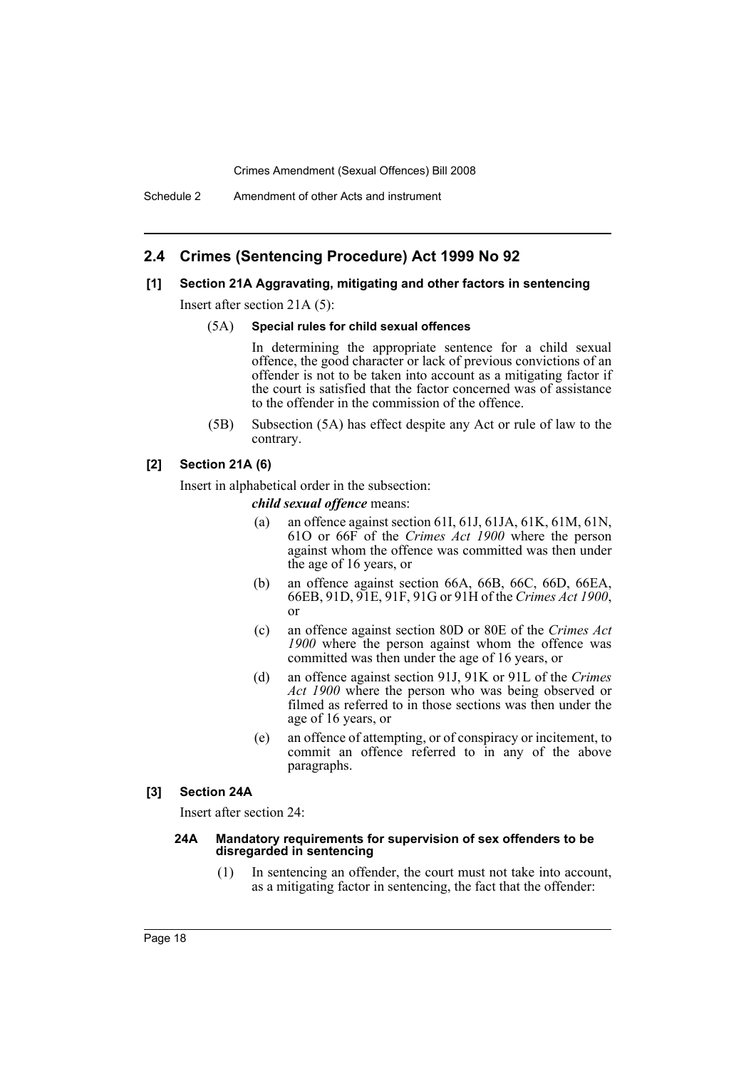# **2.4 Crimes (Sentencing Procedure) Act 1999 No 92**

## **[1] Section 21A Aggravating, mitigating and other factors in sentencing**

Insert after section 21A (5):

#### (5A) **Special rules for child sexual offences**

In determining the appropriate sentence for a child sexual offence, the good character or lack of previous convictions of an offender is not to be taken into account as a mitigating factor if the court is satisfied that the factor concerned was of assistance to the offender in the commission of the offence.

(5B) Subsection (5A) has effect despite any Act or rule of law to the contrary.

## **[2] Section 21A (6)**

Insert in alphabetical order in the subsection:

*child sexual offence* means:

- (a) an offence against section 61I, 61J, 61JA, 61K, 61M, 61N, 61O or 66F of the *Crimes Act 1900* where the person against whom the offence was committed was then under the age of 16 years, or
- (b) an offence against section 66A, 66B, 66C, 66D, 66EA, 66EB, 91D, 91E, 91F, 91G or 91H of the *Crimes Act 1900*, or
- (c) an offence against section 80D or 80E of the *Crimes Act 1900* where the person against whom the offence was committed was then under the age of 16 years, or
- (d) an offence against section 91J, 91K or 91L of the *Crimes Act 1900* where the person who was being observed or filmed as referred to in those sections was then under the age of 16 years, or
- (e) an offence of attempting, or of conspiracy or incitement, to commit an offence referred to in any of the above paragraphs.

#### **[3] Section 24A**

Insert after section 24:

#### **24A Mandatory requirements for supervision of sex offenders to be disregarded in sentencing**

(1) In sentencing an offender, the court must not take into account, as a mitigating factor in sentencing, the fact that the offender: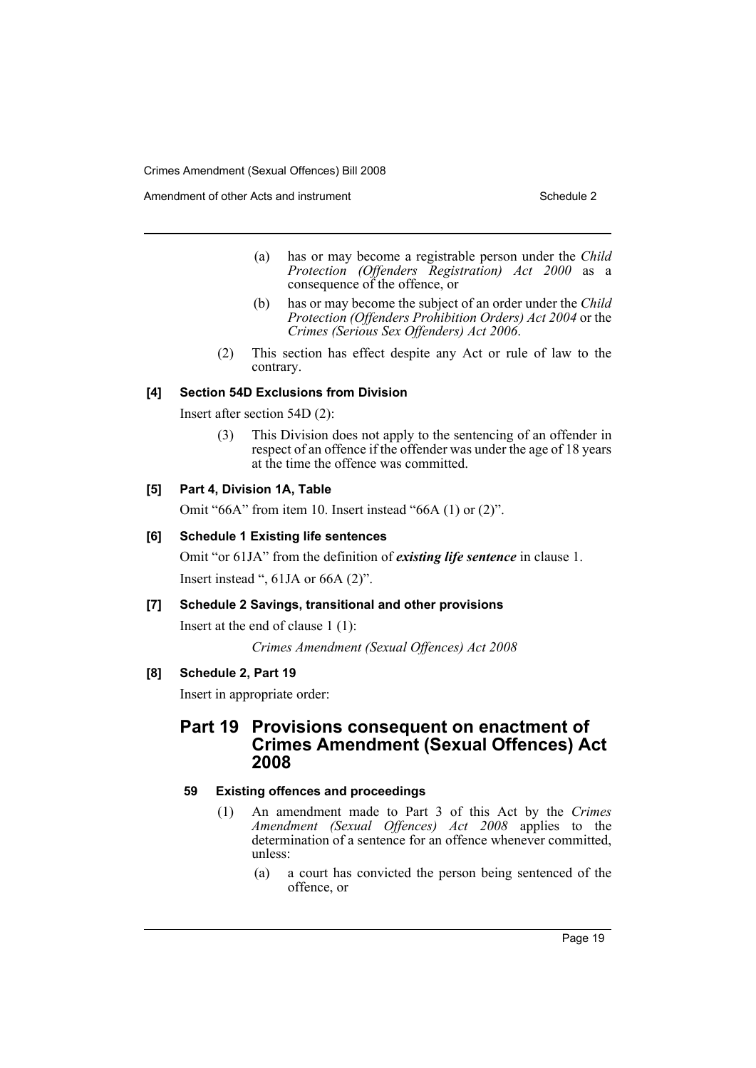Amendment of other Acts and instrument Schedule 2

- (a) has or may become a registrable person under the *Child Protection (Offenders Registration) Act 2000* as a consequence of the offence, or
- (b) has or may become the subject of an order under the *Child Protection (Offenders Prohibition Orders) Act 2004* or the *Crimes (Serious Sex Offenders) Act 2006*.
- (2) This section has effect despite any Act or rule of law to the contrary.

## **[4] Section 54D Exclusions from Division**

Insert after section 54D (2):

(3) This Division does not apply to the sentencing of an offender in respect of an offence if the offender was under the age of 18 years at the time the offence was committed.

## **[5] Part 4, Division 1A, Table**

Omit "66A" from item 10. Insert instead "66A (1) or (2)".

## **[6] Schedule 1 Existing life sentences**

Omit "or 61JA" from the definition of *existing life sentence* in clause 1. Insert instead ", 61JA or 66A (2)".

## **[7] Schedule 2 Savings, transitional and other provisions**

Insert at the end of clause 1 (1):

*Crimes Amendment (Sexual Offences) Act 2008*

## **[8] Schedule 2, Part 19**

Insert in appropriate order:

# **Part 19 Provisions consequent on enactment of Crimes Amendment (Sexual Offences) Act 2008**

## **59 Existing offences and proceedings**

- (1) An amendment made to Part 3 of this Act by the *Crimes Amendment (Sexual Offences) Act 2008* applies to the determination of a sentence for an offence whenever committed, unless:
	- (a) a court has convicted the person being sentenced of the offence, or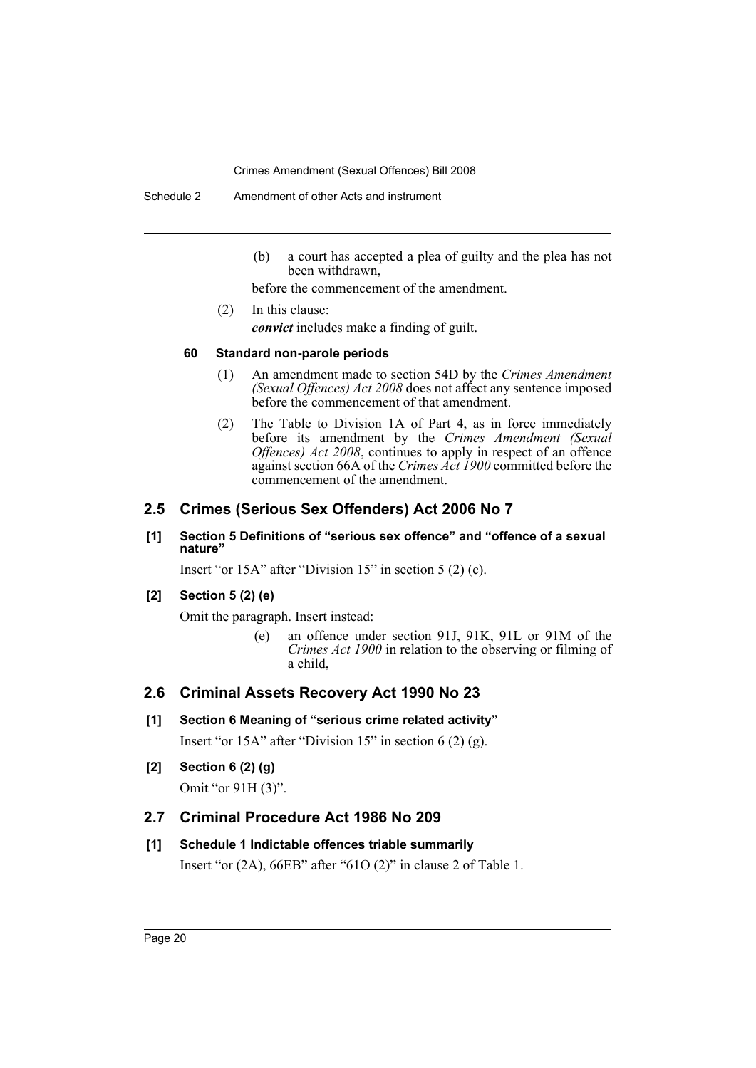Schedule 2 Amendment of other Acts and instrument

(b) a court has accepted a plea of guilty and the plea has not been withdrawn,

before the commencement of the amendment.

(2) In this clause: *convict* includes make a finding of guilt.

## **60 Standard non-parole periods**

- (1) An amendment made to section 54D by the *Crimes Amendment (Sexual Offences) Act 2008* does not affect any sentence imposed before the commencement of that amendment.
- (2) The Table to Division 1A of Part 4, as in force immediately before its amendment by the *Crimes Amendment (Sexual Offences) Act 2008*, continues to apply in respect of an offence against section 66A of the *Crimes Act 1900* committed before the commencement of the amendment.

# **2.5 Crimes (Serious Sex Offenders) Act 2006 No 7**

## **[1] Section 5 Definitions of "serious sex offence" and "offence of a sexual nature"**

Insert "or 15A" after "Division 15" in section 5 (2) (c).

## **[2] Section 5 (2) (e)**

Omit the paragraph. Insert instead:

(e) an offence under section 91J, 91K, 91L or 91M of the *Crimes Act 1900* in relation to the observing or filming of a child,

# **2.6 Criminal Assets Recovery Act 1990 No 23**

## **[1] Section 6 Meaning of "serious crime related activity"**

Insert "or 15A" after "Division 15" in section 6 (2) (g).

**[2] Section 6 (2) (g)**

Omit "or 91H (3)".

# **2.7 Criminal Procedure Act 1986 No 209**

## **[1] Schedule 1 Indictable offences triable summarily**

Insert "or (2A), 66EB" after "61O (2)" in clause 2 of Table 1.